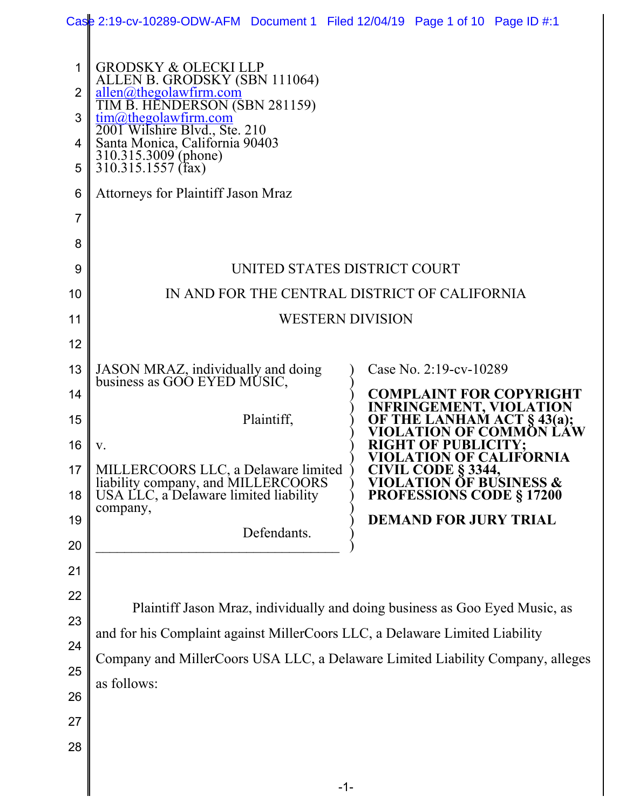| <b>GRODSKY &amp; OLECKI LLP</b><br>1<br>ALLEN B. GRODSKY (SBN 111064)<br>allen@thegolawfirm.com<br>TIM B. HENDERSON (SBN 281159)<br>2<br>$\frac{\text{tim@thegolawfirm.com}}{}$<br>3<br>2001 Wilshire Blvd., Ste. 210<br>Santa Monica, California 90403<br>4<br>310.315.3009 (phone)<br>310.315.1557 (fax)<br>5<br><b>Attorneys for Plaintiff Jason Mraz</b><br>$6\phantom{1}6$<br>7<br>8<br>UNITED STATES DISTRICT COURT<br>9<br>IN AND FOR THE CENTRAL DISTRICT OF CALIFORNIA<br>10<br><b>WESTERN DIVISION</b><br>11<br>12<br>13<br>JASON MRAZ, individually and doing<br>Case No. 2:19-cv-10289<br>business as GOO EYED MUSIC,<br><b>COMPLAINT FOR COPYRIGHT</b><br>14<br><b>INFRINGEMENT, VIOLATION</b><br>OF THE LANHAM ACT § 43(a);<br>VIOLATION OF COMMON LAW<br>Plaintiff,<br>15<br>16<br><b>RIGHT OF PUBLICITY;</b><br>V.<br>VIOLATION OF CALIFORNIA<br>MILLERCOORS LLC, a Delaware limited<br><b>CIVIL CODE § 3344.</b><br>17<br><b>VIOLATION OF BUSINESS &amp;</b><br>liability company, and MILLERCOORS<br>USA LLC, a Delaware limited liability<br><b>PROFESSIONS CODE § 17200</b><br>18<br>company,<br><b>DEMAND FOR JURY TRIAL</b><br>19<br>Defendants.<br>20<br>21<br>22<br>Plaintiff Jason Mraz, individually and doing business as Goo Eyed Music, as<br>23<br>and for his Complaint against MillerCoors LLC, a Delaware Limited Liability<br>24<br>Company and MillerCoors USA LLC, a Delaware Limited Liability Company, alleges<br>25<br>as follows:<br>26<br>27<br>28<br>$-1-$ | Case 2:19-cv-10289-ODW-AFM Document 1 Filed 12/04/19 Page 1 of 10 Page ID #:1 |  |  |  |  |  |
|------------------------------------------------------------------------------------------------------------------------------------------------------------------------------------------------------------------------------------------------------------------------------------------------------------------------------------------------------------------------------------------------------------------------------------------------------------------------------------------------------------------------------------------------------------------------------------------------------------------------------------------------------------------------------------------------------------------------------------------------------------------------------------------------------------------------------------------------------------------------------------------------------------------------------------------------------------------------------------------------------------------------------------------------------------------------------------------------------------------------------------------------------------------------------------------------------------------------------------------------------------------------------------------------------------------------------------------------------------------------------------------------------------------------------------------------------------------------------------------------------|-------------------------------------------------------------------------------|--|--|--|--|--|
|                                                                                                                                                                                                                                                                                                                                                                                                                                                                                                                                                                                                                                                                                                                                                                                                                                                                                                                                                                                                                                                                                                                                                                                                                                                                                                                                                                                                                                                                                                      |                                                                               |  |  |  |  |  |
|                                                                                                                                                                                                                                                                                                                                                                                                                                                                                                                                                                                                                                                                                                                                                                                                                                                                                                                                                                                                                                                                                                                                                                                                                                                                                                                                                                                                                                                                                                      |                                                                               |  |  |  |  |  |
|                                                                                                                                                                                                                                                                                                                                                                                                                                                                                                                                                                                                                                                                                                                                                                                                                                                                                                                                                                                                                                                                                                                                                                                                                                                                                                                                                                                                                                                                                                      |                                                                               |  |  |  |  |  |
|                                                                                                                                                                                                                                                                                                                                                                                                                                                                                                                                                                                                                                                                                                                                                                                                                                                                                                                                                                                                                                                                                                                                                                                                                                                                                                                                                                                                                                                                                                      |                                                                               |  |  |  |  |  |
|                                                                                                                                                                                                                                                                                                                                                                                                                                                                                                                                                                                                                                                                                                                                                                                                                                                                                                                                                                                                                                                                                                                                                                                                                                                                                                                                                                                                                                                                                                      |                                                                               |  |  |  |  |  |
|                                                                                                                                                                                                                                                                                                                                                                                                                                                                                                                                                                                                                                                                                                                                                                                                                                                                                                                                                                                                                                                                                                                                                                                                                                                                                                                                                                                                                                                                                                      |                                                                               |  |  |  |  |  |
|                                                                                                                                                                                                                                                                                                                                                                                                                                                                                                                                                                                                                                                                                                                                                                                                                                                                                                                                                                                                                                                                                                                                                                                                                                                                                                                                                                                                                                                                                                      |                                                                               |  |  |  |  |  |
|                                                                                                                                                                                                                                                                                                                                                                                                                                                                                                                                                                                                                                                                                                                                                                                                                                                                                                                                                                                                                                                                                                                                                                                                                                                                                                                                                                                                                                                                                                      |                                                                               |  |  |  |  |  |
|                                                                                                                                                                                                                                                                                                                                                                                                                                                                                                                                                                                                                                                                                                                                                                                                                                                                                                                                                                                                                                                                                                                                                                                                                                                                                                                                                                                                                                                                                                      |                                                                               |  |  |  |  |  |
|                                                                                                                                                                                                                                                                                                                                                                                                                                                                                                                                                                                                                                                                                                                                                                                                                                                                                                                                                                                                                                                                                                                                                                                                                                                                                                                                                                                                                                                                                                      |                                                                               |  |  |  |  |  |
|                                                                                                                                                                                                                                                                                                                                                                                                                                                                                                                                                                                                                                                                                                                                                                                                                                                                                                                                                                                                                                                                                                                                                                                                                                                                                                                                                                                                                                                                                                      |                                                                               |  |  |  |  |  |
|                                                                                                                                                                                                                                                                                                                                                                                                                                                                                                                                                                                                                                                                                                                                                                                                                                                                                                                                                                                                                                                                                                                                                                                                                                                                                                                                                                                                                                                                                                      |                                                                               |  |  |  |  |  |
|                                                                                                                                                                                                                                                                                                                                                                                                                                                                                                                                                                                                                                                                                                                                                                                                                                                                                                                                                                                                                                                                                                                                                                                                                                                                                                                                                                                                                                                                                                      |                                                                               |  |  |  |  |  |
|                                                                                                                                                                                                                                                                                                                                                                                                                                                                                                                                                                                                                                                                                                                                                                                                                                                                                                                                                                                                                                                                                                                                                                                                                                                                                                                                                                                                                                                                                                      |                                                                               |  |  |  |  |  |
|                                                                                                                                                                                                                                                                                                                                                                                                                                                                                                                                                                                                                                                                                                                                                                                                                                                                                                                                                                                                                                                                                                                                                                                                                                                                                                                                                                                                                                                                                                      |                                                                               |  |  |  |  |  |
|                                                                                                                                                                                                                                                                                                                                                                                                                                                                                                                                                                                                                                                                                                                                                                                                                                                                                                                                                                                                                                                                                                                                                                                                                                                                                                                                                                                                                                                                                                      |                                                                               |  |  |  |  |  |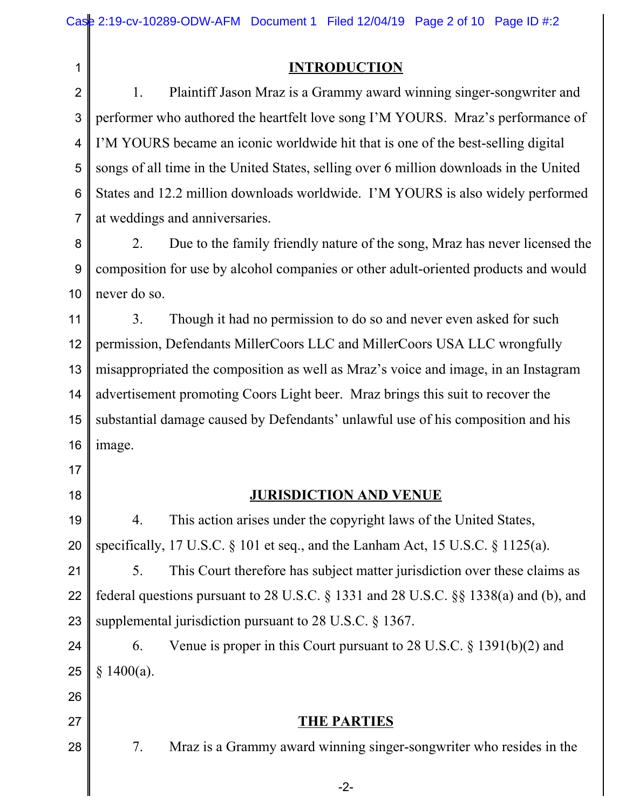1

#### **INTRODUCTION**

2 3 4 5 6 7 1. Plaintiff Jason Mraz is a Grammy award winning singer-songwriter and performer who authored the heartfelt love song I'M YOURS. Mraz's performance of I'M YOURS became an iconic worldwide hit that is one of the best-selling digital songs of all time in the United States, selling over 6 million downloads in the United States and 12.2 million downloads worldwide. I'M YOURS is also widely performed at weddings and anniversaries.

8 9 10 2. Due to the family friendly nature of the song, Mraz has never licensed the composition for use by alcohol companies or other adult-oriented products and would never do so.

11 12 13 14 15 16 3. Though it had no permission to do so and never even asked for such permission, Defendants MillerCoors LLC and MillerCoors USA LLC wrongfully misappropriated the composition as well as Mraz's voice and image, in an Instagram advertisement promoting Coors Light beer. Mraz brings this suit to recover the substantial damage caused by Defendants' unlawful use of his composition and his image.

17 18

**JURISDICTION AND VENUE**

19 20 4. This action arises under the copyright laws of the United States, specifically, 17 U.S.C. § 101 et seq., and the Lanham Act, 15 U.S.C. § 1125(a).

21 22 23 5. This Court therefore has subject matter jurisdiction over these claims as federal questions pursuant to 28 U.S.C. § 1331 and 28 U.S.C. §§ 1338(a) and (b), and supplemental jurisdiction pursuant to 28 U.S.C. § 1367.

24 25 6. Venue is proper in this Court pursuant to 28 U.S.C. § 1391(b)(2) and § 1400(a).

## 26 27

28

7. Mraz is a Grammy award winning singer-songwriter who resides in the

**THE PARTIES**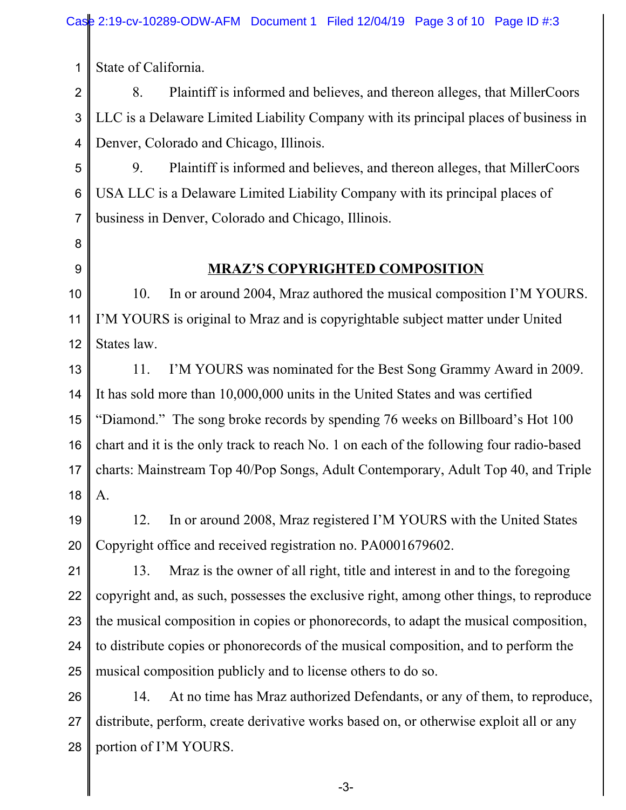State of California.

2 3 4 8. Plaintiff is informed and believes, and thereon alleges, that MillerCoors LLC is a Delaware Limited Liability Company with its principal places of business in Denver, Colorado and Chicago, Illinois.

5 6 7 9. Plaintiff is informed and believes, and thereon alleges, that MillerCoors USA LLC is a Delaware Limited Liability Company with its principal places of business in Denver, Colorado and Chicago, Illinois.

8 9

1

### **MRAZ'S COPYRIGHTED COMPOSITION**

10 11 12 10. In or around 2004, Mraz authored the musical composition I'M YOURS. I'M YOURS is original to Mraz and is copyrightable subject matter under United States law.

13 14 15 16 17 18 11. I'M YOURS was nominated for the Best Song Grammy Award in 2009. It has sold more than 10,000,000 units in the United States and was certified "Diamond." The song broke records by spending 76 weeks on Billboard's Hot 100 chart and it is the only track to reach No. 1 on each of the following four radio-based charts: Mainstream Top 40/Pop Songs, Adult Contemporary, Adult Top 40, and Triple A.

19 20 12. In or around 2008, Mraz registered I'M YOURS with the United States Copyright office and received registration no. PA0001679602.

21 22 23 24 25 13. Mraz is the owner of all right, title and interest in and to the foregoing copyright and, as such, possesses the exclusive right, among other things, to reproduce the musical composition in copies or phonorecords, to adapt the musical composition, to distribute copies or phonorecords of the musical composition, and to perform the musical composition publicly and to license others to do so.

26 27 28 14. At no time has Mraz authorized Defendants, or any of them, to reproduce, distribute, perform, create derivative works based on, or otherwise exploit all or any portion of I'M YOURS.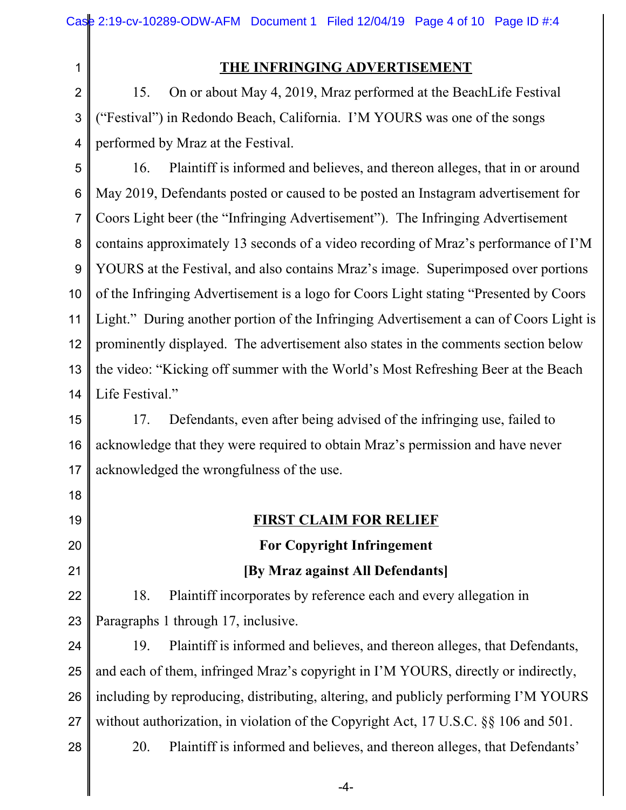|                | Case 2:19-cv-10289-ODW-AFM Document 1 Filed 12/04/19 Page 4 of 10 Page ID #:4          |  |  |  |  |  |
|----------------|----------------------------------------------------------------------------------------|--|--|--|--|--|
| 1              | THE INFRINGING ADVERTISEMENT                                                           |  |  |  |  |  |
| $\overline{2}$ | On or about May 4, 2019, Mraz performed at the BeachLife Festival<br>15.               |  |  |  |  |  |
| 3              | "Festival") in Redondo Beach, California. I'M YOURS was one of the songs               |  |  |  |  |  |
| $\overline{4}$ | performed by Mraz at the Festival.                                                     |  |  |  |  |  |
| 5              | Plaintiff is informed and believes, and thereon alleges, that in or around<br>16.      |  |  |  |  |  |
| $\,6$          | May 2019, Defendants posted or caused to be posted an Instagram advertisement for      |  |  |  |  |  |
| $\overline{7}$ | Coors Light beer (the "Infringing Advertisement"). The Infringing Advertisement        |  |  |  |  |  |
| 8              | contains approximately 13 seconds of a video recording of Mraz's performance of I'M    |  |  |  |  |  |
| $9\,$          | YOURS at the Festival, and also contains Mraz's image. Superimposed over portions      |  |  |  |  |  |
| 10             | of the Infringing Advertisement is a logo for Coors Light stating "Presented by Coors  |  |  |  |  |  |
| 11             | Light." During another portion of the Infringing Advertisement a can of Coors Light is |  |  |  |  |  |
| 12             | prominently displayed. The advertisement also states in the comments section below     |  |  |  |  |  |
| 13             | the video: "Kicking off summer with the World's Most Refreshing Beer at the Beach      |  |  |  |  |  |
| 14             | Life Festival."                                                                        |  |  |  |  |  |
| 15             | Defendants, even after being advised of the infringing use, failed to<br>17.           |  |  |  |  |  |
| 16             | acknowledge that they were required to obtain Mraz's permission and have never         |  |  |  |  |  |
| 17             | acknowledged the wrongfulness of the use.                                              |  |  |  |  |  |
| 18             |                                                                                        |  |  |  |  |  |
| 19             | <b>FIRST CLAIM FOR RELIEF</b>                                                          |  |  |  |  |  |
| 20             | <b>For Copyright Infringement</b>                                                      |  |  |  |  |  |
| 21             | [By Mraz against All Defendants]                                                       |  |  |  |  |  |
| 22             | Plaintiff incorporates by reference each and every allegation in<br>18.                |  |  |  |  |  |
| 23             | Paragraphs 1 through 17, inclusive.                                                    |  |  |  |  |  |
| 24             | Plaintiff is informed and believes, and thereon alleges, that Defendants,<br>19.       |  |  |  |  |  |
| 25             | and each of them, infringed Mraz's copyright in I'M YOURS, directly or indirectly,     |  |  |  |  |  |
| 26             | including by reproducing, distributing, altering, and publicly performing I'M YOURS    |  |  |  |  |  |
| 27             | without authorization, in violation of the Copyright Act, 17 U.S.C. §§ 106 and 501.    |  |  |  |  |  |
| 28             | Plaintiff is informed and believes, and thereon alleges, that Defendants'<br>20.       |  |  |  |  |  |
|                | -4-                                                                                    |  |  |  |  |  |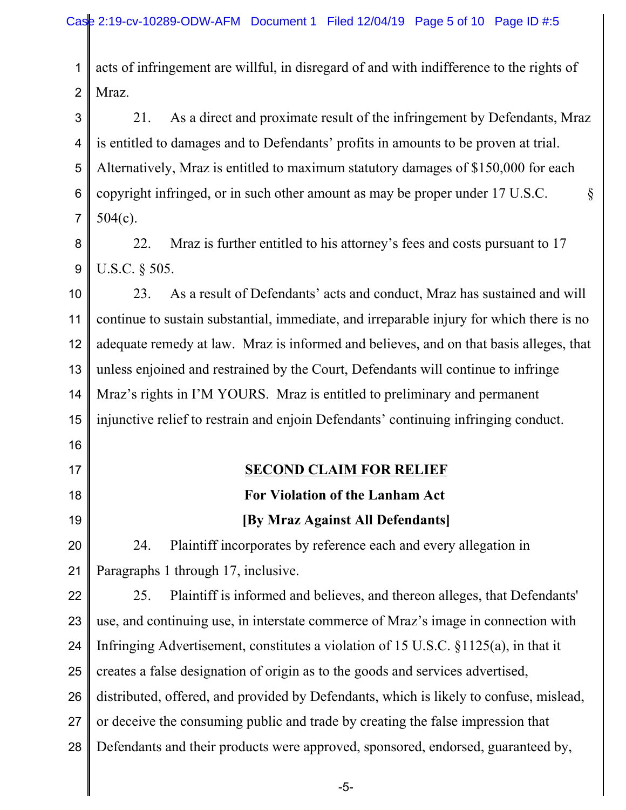1 2 acts of infringement are willful, in disregard of and with indifference to the rights of Mraz.

3 4 5 6 7 21. As a direct and proximate result of the infringement by Defendants, Mraz is entitled to damages and to Defendants' profits in amounts to be proven at trial. Alternatively, Mraz is entitled to maximum statutory damages of \$150,000 for each copyright infringed, or in such other amount as may be proper under 17 U.S.C.  $\S$ 504(c).

8 9 22. Mraz is further entitled to his attorney's fees and costs pursuant to 17 U.S.C. § 505.

10 11 12 13 14 15 16 23. As a result of Defendants' acts and conduct, Mraz has sustained and will continue to sustain substantial, immediate, and irreparable injury for which there is no adequate remedy at law. Mraz is informed and believes, and on that basis alleges, that unless enjoined and restrained by the Court, Defendants will continue to infringe Mraz's rights in I'M YOURS. Mraz is entitled to preliminary and permanent injunctive relief to restrain and enjoin Defendants' continuing infringing conduct.

- 17
- 18 19

### **SECOND CLAIM FOR RELIEF**

# **For Violation of the Lanham Act**

#### **[By Mraz Against All Defendants]**

20 21 24. Plaintiff incorporates by reference each and every allegation in Paragraphs 1 through 17, inclusive.

22 23 24 25 26 27 28 25. Plaintiff is informed and believes, and thereon alleges, that Defendants' use, and continuing use, in interstate commerce of Mraz's image in connection with Infringing Advertisement, constitutes a violation of 15 U.S.C. §1125(a), in that it creates a false designation of origin as to the goods and services advertised, distributed, offered, and provided by Defendants, which is likely to confuse, mislead, or deceive the consuming public and trade by creating the false impression that Defendants and their products were approved, sponsored, endorsed, guaranteed by,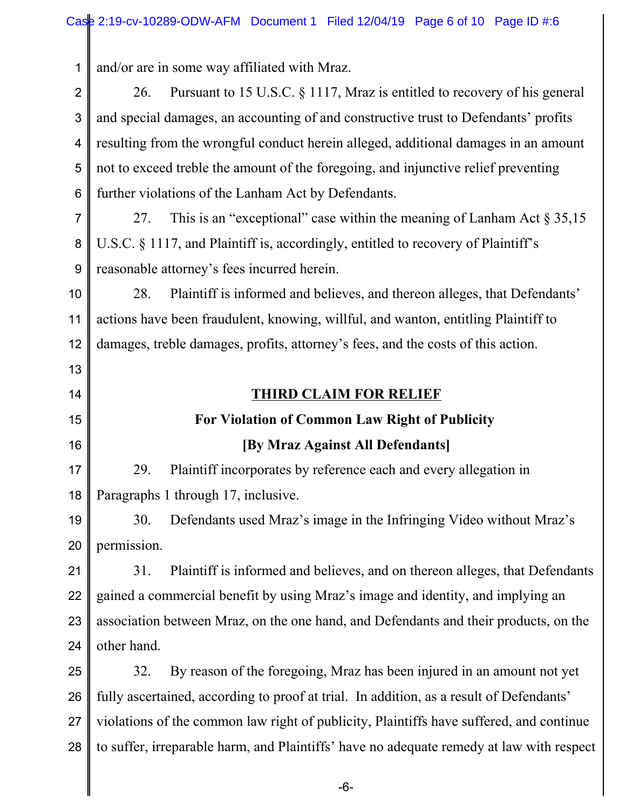| 1              | and/or are in some way affiliated with Mraz.                                             |  |  |
|----------------|------------------------------------------------------------------------------------------|--|--|
| $\overline{2}$ | Pursuant to 15 U.S.C. § 1117, Mraz is entitled to recovery of his general<br>26.         |  |  |
| 3              | and special damages, an accounting of and constructive trust to Defendants' profits      |  |  |
| 4              | resulting from the wrongful conduct herein alleged, additional damages in an amount      |  |  |
| 5              | not to exceed treble the amount of the foregoing, and injunctive relief preventing       |  |  |
| 6              | further violations of the Lanham Act by Defendants.                                      |  |  |
| $\overline{7}$ | This is an "exceptional" case within the meaning of Lanham Act $\S 35,15$<br>27.         |  |  |
| 8              | U.S.C. § 1117, and Plaintiff is, accordingly, entitled to recovery of Plaintiff's        |  |  |
| 9              | reasonable attorney's fees incurred herein.                                              |  |  |
| 10             | Plaintiff is informed and believes, and thereon alleges, that Defendants'<br>28.         |  |  |
| 11             | actions have been fraudulent, knowing, willful, and wanton, entitling Plaintiff to       |  |  |
| 12             | damages, treble damages, profits, attorney's fees, and the costs of this action.         |  |  |
| 13             |                                                                                          |  |  |
| 14             | <b>THIRD CLAIM FOR RELIEF</b>                                                            |  |  |
| 15             | For Violation of Common Law Right of Publicity                                           |  |  |
| 16             | [By Mraz Against All Defendants]                                                         |  |  |
| 17             | Plaintiff incorporates by reference each and every allegation in<br>29.                  |  |  |
| 18             | Paragraphs 1 through 17, inclusive.                                                      |  |  |
| 19             | Defendants used Mraz's image in the Infringing Video without Mraz's<br>30.               |  |  |
| 20             | permission.                                                                              |  |  |
| 21             | Plaintiff is informed and believes, and on thereon alleges, that Defendants<br>31.       |  |  |
| 22             | gained a commercial benefit by using Mraz's image and identity, and implying an          |  |  |
| 23             | association between Mraz, on the one hand, and Defendants and their products, on the     |  |  |
| 24             | other hand.                                                                              |  |  |
| 25             | By reason of the foregoing, Mraz has been injured in an amount not yet<br>32.            |  |  |
| 26             | fully ascertained, according to proof at trial. In addition, as a result of Defendants'  |  |  |
| 27             | violations of the common law right of publicity, Plaintiffs have suffered, and continue  |  |  |
| 28             | to suffer, irreparable harm, and Plaintiffs' have no adequate remedy at law with respect |  |  |

 $\parallel$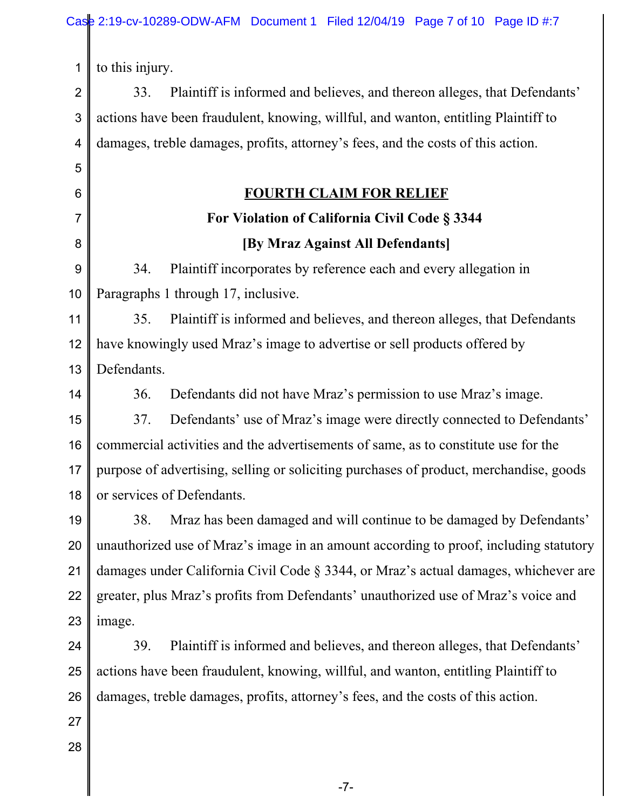1 to this injury.

2 3 4 33. Plaintiff is informed and believes, and thereon alleges, that Defendants' actions have been fraudulent, knowing, willful, and wanton, entitling Plaintiff to damages, treble damages, profits, attorney's fees, and the costs of this action.

## **FOURTH CLAIM FOR RELIEF**

# **For Violation of California Civil Code § 3344 [By Mraz Against All Defendants]**

9 10 34. Plaintiff incorporates by reference each and every allegation in Paragraphs 1 through 17, inclusive.

11 12 13 35. Plaintiff is informed and believes, and thereon alleges, that Defendants have knowingly used Mraz's image to advertise or sell products offered by Defendants.

14

5

6

7

8

36. Defendants did not have Mraz's permission to use Mraz's image.

15 16 17 18 37. Defendants' use of Mraz's image were directly connected to Defendants' commercial activities and the advertisements of same, as to constitute use for the purpose of advertising, selling or soliciting purchases of product, merchandise, goods or services of Defendants.

19 20 21 22 23 38. Mraz has been damaged and will continue to be damaged by Defendants' unauthorized use of Mraz's image in an amount according to proof, including statutory damages under California Civil Code § 3344, or Mraz's actual damages, whichever are greater, plus Mraz's profits from Defendants' unauthorized use of Mraz's voice and image.

24 25 26 39. Plaintiff is informed and believes, and thereon alleges, that Defendants' actions have been fraudulent, knowing, willful, and wanton, entitling Plaintiff to damages, treble damages, profits, attorney's fees, and the costs of this action.

27 28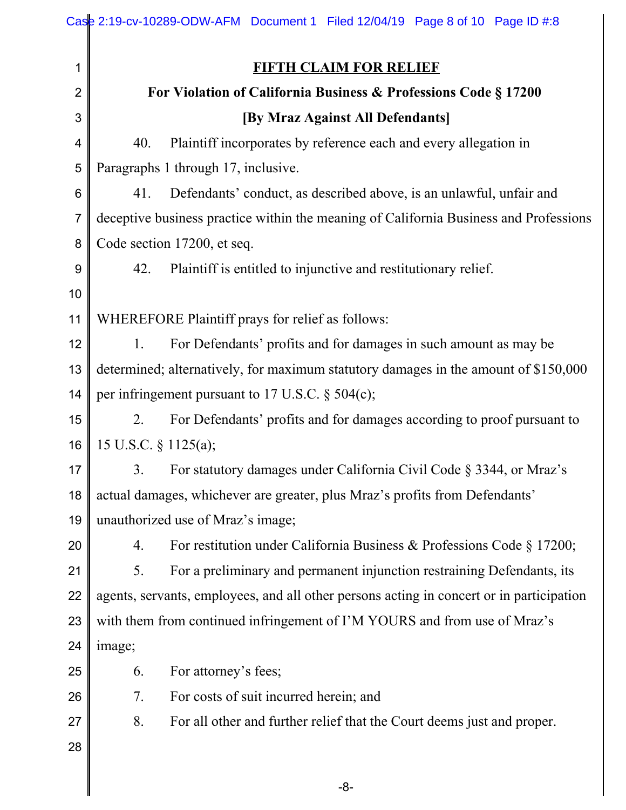|    | Case 2:19-cv-10289-ODW-AFM Document 1 Filed 12/04/19 Page 8 of 10 Page ID #:8            |  |  |  |  |  |
|----|------------------------------------------------------------------------------------------|--|--|--|--|--|
| 1  | <b>FIFTH CLAIM FOR RELIEF</b>                                                            |  |  |  |  |  |
| 2  | For Violation of California Business & Professions Code § 17200                          |  |  |  |  |  |
| 3  | [By Mraz Against All Defendants]                                                         |  |  |  |  |  |
| 4  | Plaintiff incorporates by reference each and every allegation in<br>40.                  |  |  |  |  |  |
| 5  | Paragraphs 1 through 17, inclusive.                                                      |  |  |  |  |  |
| 6  | 41.<br>Defendants' conduct, as described above, is an unlawful, unfair and               |  |  |  |  |  |
| 7  | deceptive business practice within the meaning of California Business and Professions    |  |  |  |  |  |
| 8  | Code section 17200, et seq.                                                              |  |  |  |  |  |
| 9  | Plaintiff is entitled to injunctive and restitutionary relief.<br>42.                    |  |  |  |  |  |
| 10 |                                                                                          |  |  |  |  |  |
| 11 | WHEREFORE Plaintiff prays for relief as follows:                                         |  |  |  |  |  |
| 12 | 1.<br>For Defendants' profits and for damages in such amount as may be                   |  |  |  |  |  |
| 13 | determined; alternatively, for maximum statutory damages in the amount of \$150,000      |  |  |  |  |  |
| 14 | per infringement pursuant to 17 U.S.C. $\S$ 504(c);                                      |  |  |  |  |  |
| 15 | For Defendants' profits and for damages according to proof pursuant to<br>2.             |  |  |  |  |  |
| 16 | 15 U.S.C. § 1125(a);                                                                     |  |  |  |  |  |
| 17 | 3. For statutory damages under California Civil Code § 3344, or Mraz's                   |  |  |  |  |  |
| 18 | actual damages, whichever are greater, plus Mraz's profits from Defendants'              |  |  |  |  |  |
| 19 | unauthorized use of Mraz's image;                                                        |  |  |  |  |  |
| 20 | For restitution under California Business & Professions Code § 17200;<br>4.              |  |  |  |  |  |
| 21 | For a preliminary and permanent injunction restraining Defendants, its<br>5.             |  |  |  |  |  |
| 22 | agents, servants, employees, and all other persons acting in concert or in participation |  |  |  |  |  |
| 23 | with them from continued infringement of I'M YOURS and from use of Mraz's                |  |  |  |  |  |
| 24 | image;                                                                                   |  |  |  |  |  |
| 25 | For attorney's fees;<br>6.                                                               |  |  |  |  |  |
| 26 | For costs of suit incurred herein; and<br>7.                                             |  |  |  |  |  |
| 27 | 8.<br>For all other and further relief that the Court deems just and proper.             |  |  |  |  |  |
| 28 |                                                                                          |  |  |  |  |  |
|    | $-8-$                                                                                    |  |  |  |  |  |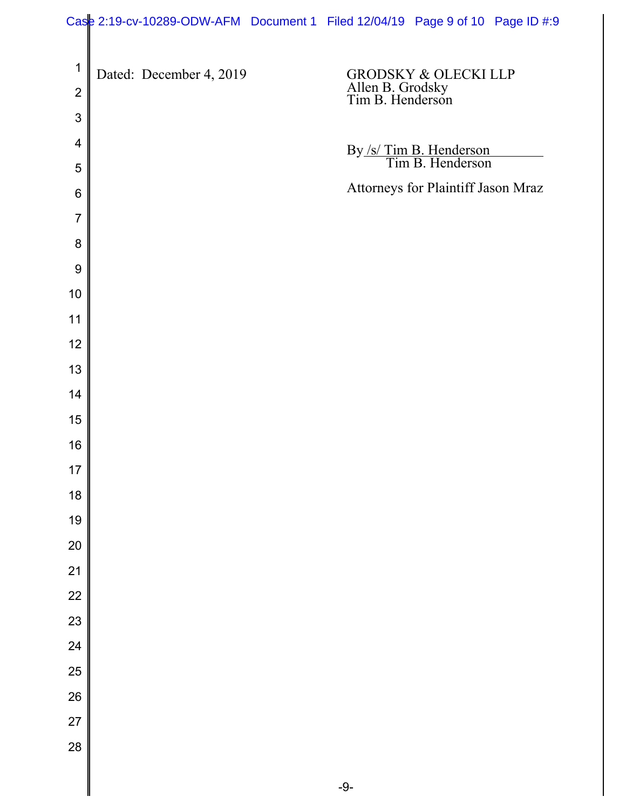|                  | Case 2:19-cv-10289-ODW-AFM Document 1 Filed 12/04/19 Page 9 of 10 Page ID #:9 |                                      |                                             |  |
|------------------|-------------------------------------------------------------------------------|--------------------------------------|---------------------------------------------|--|
|                  |                                                                               |                                      |                                             |  |
| $\mathbf 1$      | Dated: December 4, 2019                                                       |                                      | GRODSKY & OLECKI LLP                        |  |
| $\overline{2}$   |                                                                               | Allen B. Grodsky<br>Tim B. Henderson |                                             |  |
| 3                |                                                                               |                                      |                                             |  |
| 4<br>5           |                                                                               |                                      | By /s/ Tim B. Henderson<br>Tim B. Henderson |  |
| $6\phantom{1}6$  |                                                                               |                                      | Attorneys for Plaintiff Jason Mraz          |  |
| $\overline{7}$   |                                                                               |                                      |                                             |  |
| 8                |                                                                               |                                      |                                             |  |
| $\boldsymbol{9}$ |                                                                               |                                      |                                             |  |
| $10$             |                                                                               |                                      |                                             |  |
| 11               |                                                                               |                                      |                                             |  |
| 12               |                                                                               |                                      |                                             |  |
| 13               |                                                                               |                                      |                                             |  |
| 14               |                                                                               |                                      |                                             |  |
| 15               |                                                                               |                                      |                                             |  |
| 16               |                                                                               |                                      |                                             |  |
| 17               |                                                                               |                                      |                                             |  |
| 18               |                                                                               |                                      |                                             |  |
| 19               |                                                                               |                                      |                                             |  |
| 20               |                                                                               |                                      |                                             |  |
| 21               |                                                                               |                                      |                                             |  |
| 22               |                                                                               |                                      |                                             |  |
| 23               |                                                                               |                                      |                                             |  |
| 24               |                                                                               |                                      |                                             |  |
| 25               |                                                                               |                                      |                                             |  |
| 26               |                                                                               |                                      |                                             |  |
| 27               |                                                                               |                                      |                                             |  |
| 28               |                                                                               |                                      |                                             |  |
|                  |                                                                               | $-9-$                                |                                             |  |